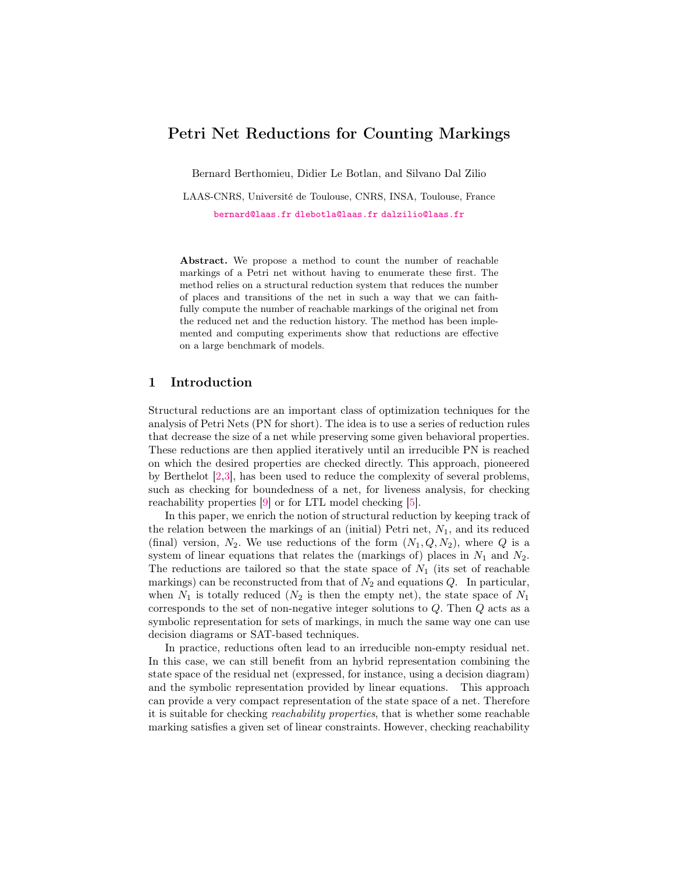# Petri Net Reductions for Counting Markings

Bernard Berthomieu, Didier Le Botlan, and Silvano Dal Zilio

LAAS-CNRS, Université de Toulouse, CNRS, INSA, Toulouse, France

[bernard@laas.fr](mailto:bernard@laas.fr) [dlebotla@laas.fr](mailto:dlebotla@laas.fr@laas.fr) [dalzilio@laas.fr](mailto:dalzilio@laas.fr)

Abstract. We propose a method to count the number of reachable markings of a Petri net without having to enumerate these first. The method relies on a structural reduction system that reduces the number of places and transitions of the net in such a way that we can faithfully compute the number of reachable markings of the original net from the reduced net and the reduction history. The method has been implemented and computing experiments show that reductions are effective on a large benchmark of models.

### 1 Introduction

Structural reductions are an important class of optimization techniques for the analysis of Petri Nets (PN for short). The idea is to use a series of reduction rules that decrease the size of a net while preserving some given behavioral properties. These reductions are then applied iteratively until an irreducible PN is reached on which the desired properties are checked directly. This approach, pioneered by Berthelot [\[2,](#page-16-0)[3\]](#page-16-1), has been used to reduce the complexity of several problems, such as checking for boundedness of a net, for liveness analysis, for checking reachability properties [\[9\]](#page-16-2) or for LTL model checking [\[5\]](#page-16-3).

In this paper, we enrich the notion of structural reduction by keeping track of the relation between the markings of an (initial) Petri net,  $N_1$ , and its reduced (final) version,  $N_2$ . We use reductions of the form  $(N_1, Q, N_2)$ , where Q is a system of linear equations that relates the (markings of) places in  $N_1$  and  $N_2$ . The reductions are tailored so that the state space of  $N_1$  (its set of reachable markings) can be reconstructed from that of  $N_2$  and equations  $Q$ . In particular, when  $N_1$  is totally reduced  $(N_2$  is then the empty net), the state space of  $N_1$ corresponds to the set of non-negative integer solutions to Q. Then Q acts as a symbolic representation for sets of markings, in much the same way one can use decision diagrams or SAT-based techniques.

In practice, reductions often lead to an irreducible non-empty residual net. In this case, we can still benefit from an hybrid representation combining the state space of the residual net (expressed, for instance, using a decision diagram) and the symbolic representation provided by linear equations. This approach can provide a very compact representation of the state space of a net. Therefore it is suitable for checking reachability properties, that is whether some reachable marking satisfies a given set of linear constraints. However, checking reachability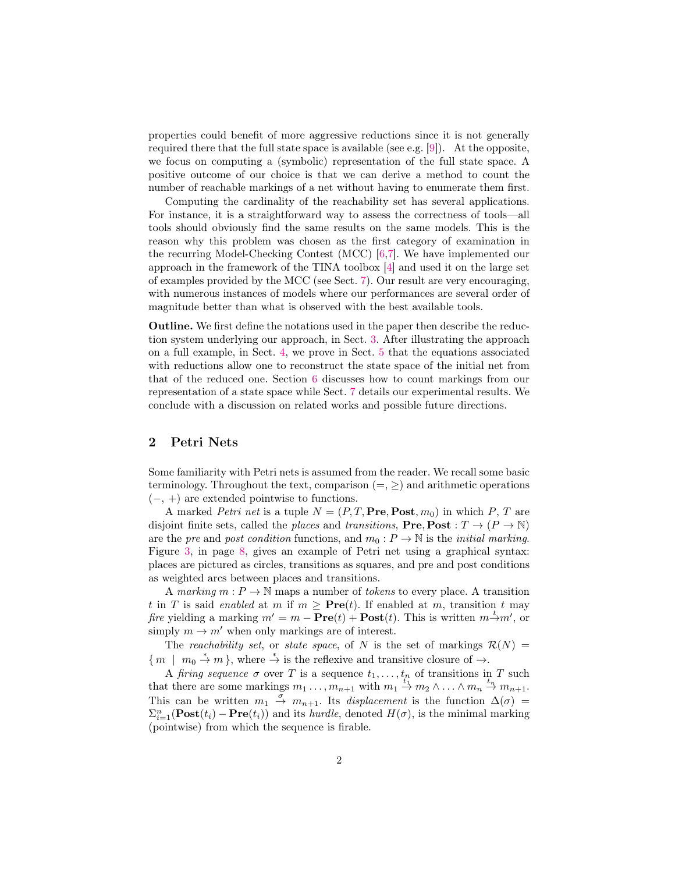properties could benefit of more aggressive reductions since it is not generally required there that the full state space is available (see e.g.  $[9]$ ). At the opposite, we focus on computing a (symbolic) representation of the full state space. A positive outcome of our choice is that we can derive a method to count the number of reachable markings of a net without having to enumerate them first.

Computing the cardinality of the reachability set has several applications. For instance, it is a straightforward way to assess the correctness of tools—all tools should obviously find the same results on the same models. This is the reason why this problem was chosen as the first category of examination in the recurring Model-Checking Contest (MCC) [\[6,](#page-16-4)[7\]](#page-16-5). We have implemented our approach in the framework of the TINA toolbox [\[4\]](#page-16-6) and used it on the large set of examples provided by the MCC (see Sect. [7\)](#page-12-0). Our result are very encouraging, with numerous instances of models where our performances are several order of magnitude better than what is observed with the best available tools.

Outline. We first define the notations used in the paper then describe the reduction system underlying our approach, in Sect. [3.](#page-2-0) After illustrating the approach on a full example, in Sect. [4,](#page-7-0) we prove in Sect. [5](#page-8-0) that the equations associated with reductions allow one to reconstruct the state space of the initial net from that of the reduced one. Section [6](#page-10-0) discusses how to count markings from our representation of a state space while Sect. [7](#page-12-0) details our experimental results. We conclude with a discussion on related works and possible future directions.

### 2 Petri Nets

Some familiarity with Petri nets is assumed from the reader. We recall some basic terminology. Throughout the text, comparison  $(=,\geq)$  and arithmetic operations (−, +) are extended pointwise to functions.

A marked *Petri net* is a tuple  $N = (P, T, \textbf{Pre}, \textbf{Post}, m_0)$  in which P, T are disjoint finite sets, called the places and transitions,  $\text{Pre}, \text{Post} : T \to (P \to \mathbb{N})$ are the pre and post condition functions, and  $m_0 : P \to \mathbb{N}$  is the *initial marking*. Figure [3,](#page-7-1) in page [8,](#page-7-1) gives an example of Petri net using a graphical syntax: places are pictured as circles, transitions as squares, and pre and post conditions as weighted arcs between places and transitions.

A marking  $m : P \to \mathbb{N}$  maps a number of tokens to every place. A transition t in T is said enabled at m if  $m \geq \text{Pre}(t)$ . If enabled at m, transition t may fire yielding a marking  $m' = m - \overline{\text{Pre}(t) + \text{Post}(t)}$ . This is written  $m \to m'$ , or simply  $m \to m'$  when only markings are of interest.

The reachability set, or state space, of N is the set of markings  $\mathcal{R}(N) =$ { $m \mid m_0 \stackrel{*}{\rightarrow} m$ }, where  $\stackrel{*}{\rightarrow}$  is the reflexive and transitive closure of  $\rightarrow$ .

A firing sequence  $\sigma$  over T is a sequence  $t_1, \ldots, t_n$  of transitions in T such that there are some markings  $m_1 \ldots, m_{n+1}$  with  $m_1 \stackrel{t_1}{\rightarrow} m_2 \wedge \ldots \wedge m_n \stackrel{t_n}{\rightarrow} m_{n+1}$ . This can be written  $m_1 \stackrel{\sigma}{\rightarrow} m_{n+1}$ . Its *displacement* is the function  $\Delta(\sigma)$  =  $\sum_{i=1}^{n}(\text{Post}(t_i) - \text{Pre}(t_i))$  and its *hurdle*, denoted  $H(\sigma)$ , is the minimal marking (pointwise) from which the sequence is firable.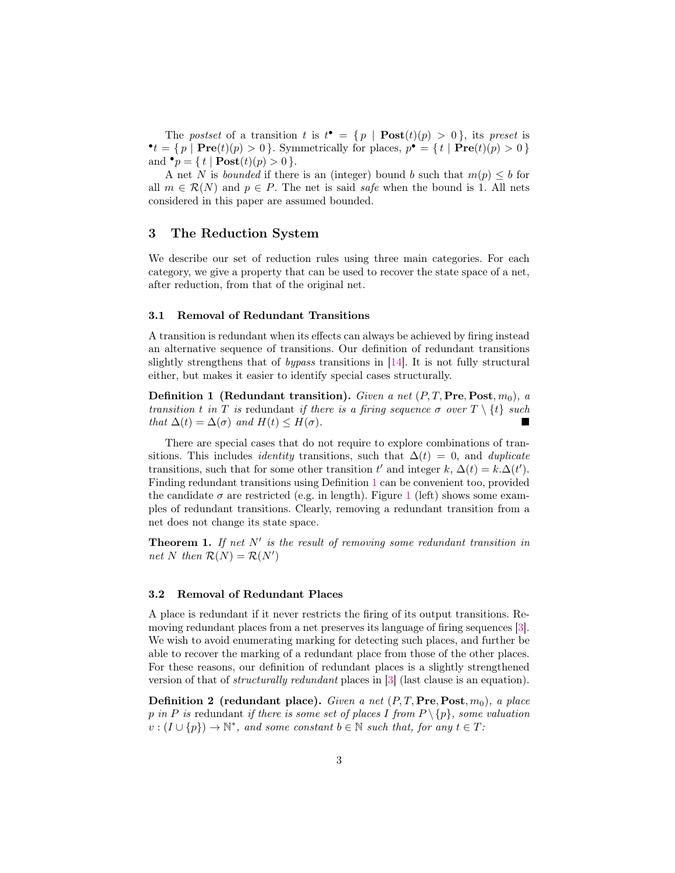The postset of a transition t is  $t^{\bullet} = \{p \mid \text{Post}(t)(p) > 0\}$ , its preset is  $\bullet$   $t = \{ p \mid \textbf{Pre}(t)(p) > 0 \}$ . Symmetrically for places,  $p^{\bullet} = \{ t \mid \textbf{Pre}(t)(p) > 0 \}$ and  $\mathbf{P} = \{ t \mid \textbf{Post}(t)(p) > 0 \}.$ 

A net N is *bounded* if there is an (integer) bound b such that  $m(p) \leq b$  for all  $m \in \mathcal{R}(N)$  and  $p \in P$ . The net is said *safe* when the bound is 1. All nets considered in this paper are assumed bounded.

#### <span id="page-2-0"></span>3 The Reduction System

We describe our set of reduction rules using three main categories. For each category, we give a property that can be used to recover the state space of a net, after reduction, from that of the original net.

#### <span id="page-2-3"></span>3.1 Removal of Redundant Transitions

A transition is redundant when its effects can always be achieved by firing instead an alternative sequence of transitions. Our definition of redundant transitions slightly strengthens that of bypass transitions in [\[14\]](#page-16-7). It is not fully structural either, but makes it easier to identify special cases structurally.

<span id="page-2-1"></span>**Definition 1** (Redundant transition). Given a net  $(P, T, Pre, Post, m_0)$ , a transition t in T is redundant if there is a firing sequence  $\sigma$  over  $T \setminus \{t\}$  such that  $\Delta(t) = \Delta(\sigma)$  and  $H(t) \leq H(\sigma)$ .

There are special cases that do not require to explore combinations of transitions. This includes *identity* transitions, such that  $\Delta(t) = 0$ , and *duplicate* transitions, such that for some other transition  $t'$  and integer  $k, \Delta(t) = k.\Delta(t')$ . Finding redundant transitions using Definition [1](#page-2-1) can be convenient too, provided the candidate  $\sigma$  are restricted (e.g. in length). Figure [1](#page-3-0) (left) shows some examples of redundant transitions. Clearly, removing a redundant transition from a net does not change its state space.

<span id="page-2-5"></span>**Theorem 1.** If net  $N'$  is the result of removing some redundant transition in net N then  $\mathcal{R}(N) = \mathcal{R}(N')$ 

### <span id="page-2-4"></span>3.2 Removal of Redundant Places

A place is redundant if it never restricts the firing of its output transitions. Removing redundant places from a net preserves its language of firing sequences [\[3\]](#page-16-1). We wish to avoid enumerating marking for detecting such places, and further be able to recover the marking of a redundant place from those of the other places. For these reasons, our definition of redundant places is a slightly strengthened version of that of structurally redundant places in [\[3\]](#page-16-1) (last clause is an equation).

<span id="page-2-2"></span>**Definition 2** (redundant place). Given a net  $(P, T, Pre, Post, m_0)$ , a place p in P is redundant if there is some set of places I from  $P \setminus \{p\}$ , some valuation  $v:(I\cup \{p\})\to \mathbb{N}^*,$  and some constant  $b\in \mathbb{N}$  such that, for any  $t\in T$ :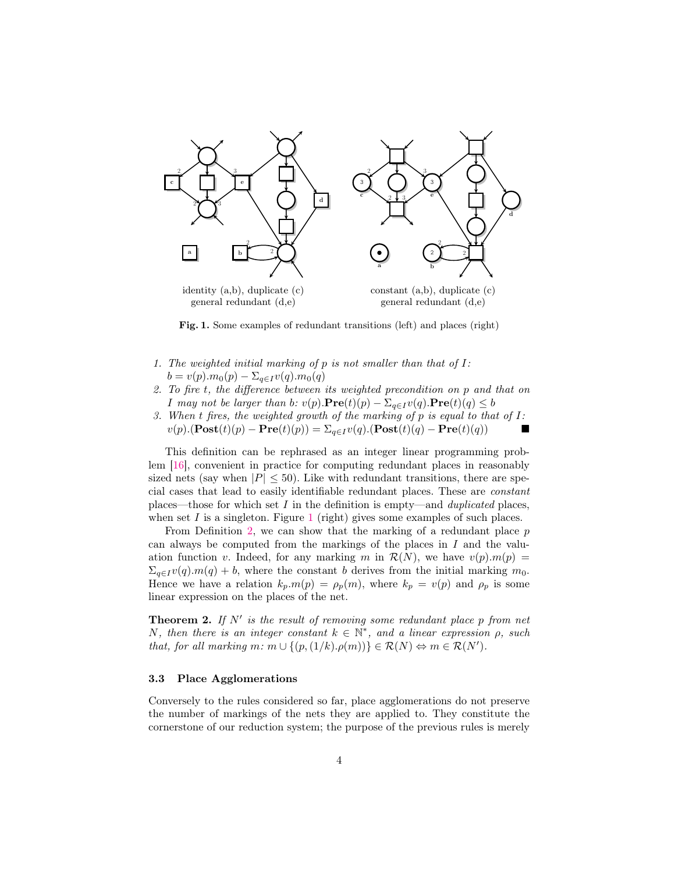

<span id="page-3-0"></span>Fig. 1. Some examples of redundant transitions (left) and places (right)

- 1. The weighted initial marking of  $p$  is not smaller than that of  $I$ :  $b = v(p) \cdot m_0(p) - \sum_{q \in I} v(q) \cdot m_0(q)$
- 2. To fire t, the difference between its weighted precondition on p and that on *I* may not be larger than b:  $v(p)$ . $\text{Pre}(t)(p) - \sum_{q \in I} v(q)$ . $\text{Pre}(t)(q) \leq b$
- 3. When t fires, the weighted growth of the marking of p is equal to that of I:  $v(p).(\textbf{Post}(t)(p) - \textbf{Pre}(t)(p)) = \sum_{q \in I} v(q).(\textbf{Post}(t)(q) - \textbf{Pre}(t)(q))$

This definition can be rephrased as an integer linear programming problem [\[16\]](#page-16-8), convenient in practice for computing redundant places in reasonably sized nets (say when  $|P| \leq 50$ ). Like with redundant transitions, there are special cases that lead to easily identifiable redundant places. These are constant places—those for which set I in the definition is empty—and *duplicated* places, when set  $I$  is a singleton. Figure [1](#page-3-0) (right) gives some examples of such places.

From Definition [2,](#page-2-2) we can show that the marking of a redundant place p can always be computed from the markings of the places in  $I$  and the valuation function v. Indeed, for any marking m in  $\mathcal{R}(N)$ , we have  $v(p).m(p) =$  $\Sigma_{q\in I}v(q).m(q) + b$ , where the constant b derives from the initial marking  $m_0$ . Hence we have a relation  $k_p.m(p) = \rho_p(m)$ , where  $k_p = v(p)$  and  $\rho_p$  is some linear expression on the places of the net.

<span id="page-3-2"></span>**Theorem 2.** If  $N'$  is the result of removing some redundant place p from net N, then there is an integer constant  $k \in \mathbb{N}^*$ , and a linear expression  $\rho$ , such that, for all marking  $m: m \cup \{(p, (1/k) \cdot \rho(m))\} \in \mathcal{R}(N) \Leftrightarrow m \in \mathcal{R}(N').$ 

#### <span id="page-3-1"></span>3.3 Place Agglomerations

Conversely to the rules considered so far, place agglomerations do not preserve the number of markings of the nets they are applied to. They constitute the cornerstone of our reduction system; the purpose of the previous rules is merely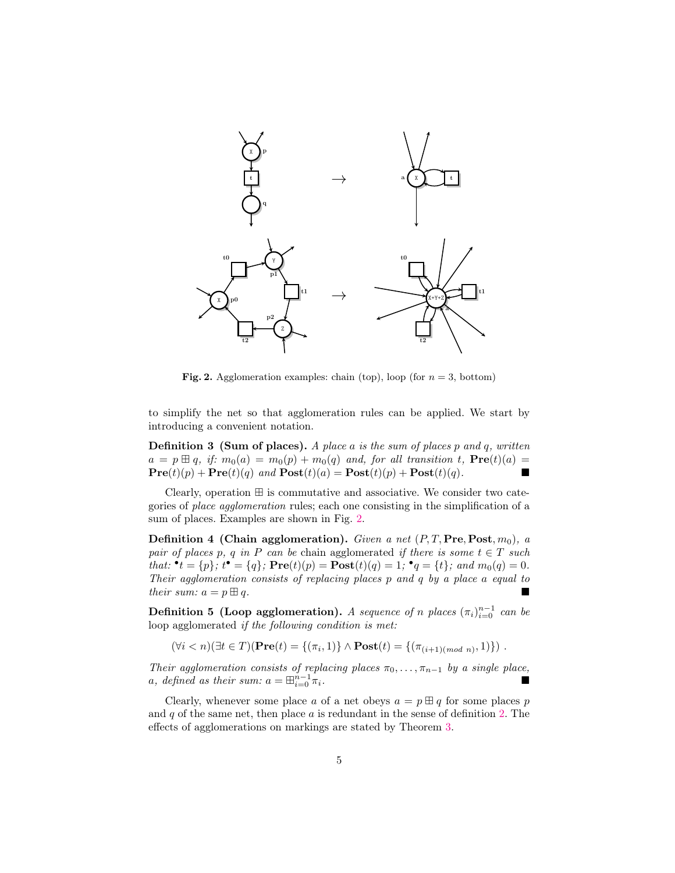

<span id="page-4-0"></span>Fig. 2. Agglomeration examples: chain (top), loop (for  $n = 3$ , bottom)

to simplify the net so that agglomeration rules can be applied. We start by introducing a convenient notation.

**Definition 3 (Sum of places).** A place a is the sum of places p and q, written  $a = p \boxplus q$ , if:  $m_0(a) = m_0(p) + m_0(q)$  and, for all transition t,  $\text{Pre}(t)(a) =$  $\text{Pre}(t)(p) + \text{Pre}(t)(q)$  and  $\text{Post}(t)(a) = \text{Post}(t)(p) + \text{Post}(t)(q)$ .

Clearly, operation  $\boxplus$  is commutative and associative. We consider two categories of place agglomeration rules; each one consisting in the simplification of a sum of places. Examples are shown in Fig. [2.](#page-4-0)

<span id="page-4-2"></span>Definition 4 (Chain agglomeration). Given a net  $(P, T, Pre, Post, m_0)$ , a pair of places p, q in P can be chain agglomerated if there is some  $t \in T$  such that:  ${}^{\bullet}t = \{p\}$ ;  $t^{\bullet} = \{q\}$ ;  $\text{Pre}(t)(p) = \text{Post}(t)(q) = 1$ ;  ${}^{\bullet}q = \{t\}$ ; and  $m_0(q) = 0$ . Their agglomeration consists of replacing places p and q by a place a equal to their sum:  $a = p \boxplus q$ .

Definition 5 (Loop agglomeration). A sequence of n places  $(\pi_i)_{i=0}^{n-1}$  can be loop agglomerated if the following condition is met:

$$
(\forall i < n)(\exists t \in T)(\mathbf{Pre}(t) = \{(\pi_i, 1)\} \land \mathbf{Post}(t) = \{(\pi_{(i+1)(mod n)}, 1)\})
$$
.

Their agglomeration consists of replacing places  $\pi_0, \ldots, \pi_{n-1}$  by a single place, a, defined as their sum:  $a = \boxplus_{i=0}^{n-1} \pi_i$ .

<span id="page-4-1"></span>Clearly, whenever some place a of a net obeys  $a = p \boxplus q$  for some places p and  $q$  of the same net, then place  $q$  is redundant in the sense of definition [2.](#page-2-2) The effects of agglomerations on markings are stated by Theorem [3.](#page-4-1)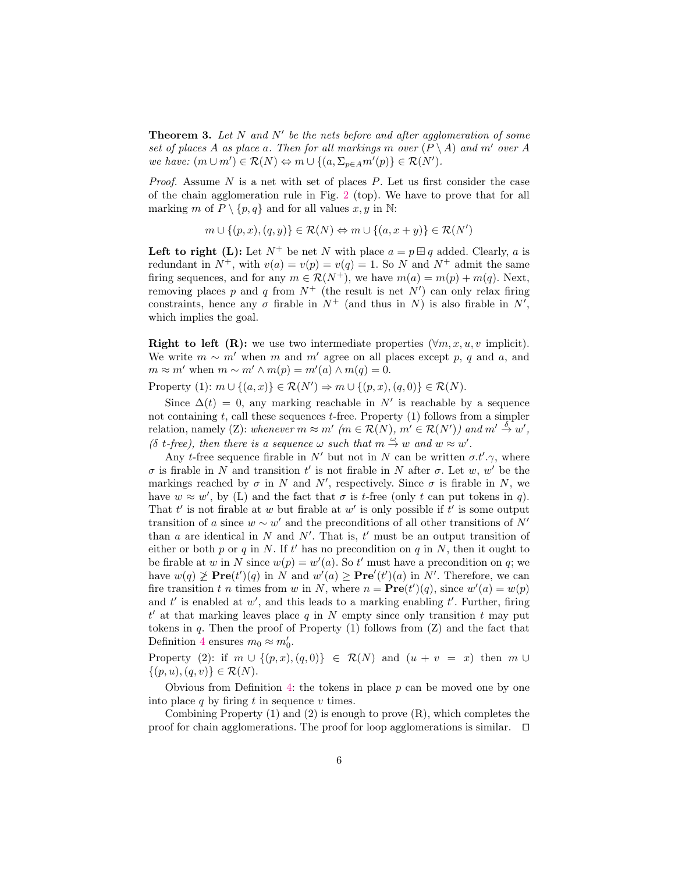**Theorem 3.** Let  $N$  and  $N'$  be the nets before and after agglomeration of some set of places A as place a. Then for all markings m over  $(P \setminus A)$  and m' over A we have:  $(m \cup m') \in \mathcal{R}(N) \Leftrightarrow m \cup \{(a, \Sigma_{p \in A} m'(p)\} \in \mathcal{R}(N')$ .

*Proof.* Assume  $N$  is a net with set of places  $P$ . Let us first consider the case of the chain agglomeration rule in Fig. [2](#page-4-0) (top). We have to prove that for all marking m of  $P \setminus \{p, q\}$  and for all values  $x, y$  in N:

 $m \cup \{(p, x), (q, y)\}\in \mathcal{R}(N) \Leftrightarrow m \cup \{(a, x + y)\}\in \mathcal{R}(N')$ 

Left to right (L): Let  $N^+$  be net N with place  $a = p \boxplus q$  added. Clearly, a is redundant in  $N^+$ , with  $v(a) = v(p) = v(q) = 1$ . So N and  $N^+$  admit the same firing sequences, and for any  $m \in \mathcal{R}(N^+)$ , we have  $m(a) = m(p) + m(q)$ . Next, removing places p and q from  $N^+$  (the result is net N') can only relax firing constraints, hence any  $\sigma$  firable in  $N^+$  (and thus in N) is also firable in N', which implies the goal.

**Right to left (R):** we use two intermediate properties ( $\forall m, x, u, v$  implicit). We write  $m \sim m'$  when m and m' agree on all places except p, q and a, and  $m \approx m'$  when  $m \sim m' \wedge m(p) = m'(a) \wedge m(q) = 0.$ 

Property (1):  $m \cup \{(a, x)\}\in \mathcal{R}(N') \Rightarrow m \cup \{(p, x), (q, 0)\}\in \mathcal{R}(N)$ .

Since  $\Delta(t) = 0$ , any marking reachable in N' is reachable by a sequence not containing  $t$ , call these sequences  $t$ -free. Property  $(1)$  follows from a simpler relation, namely (Z): whenever  $m \approx m'$  ( $m \in \mathcal{R}(N)$ ,  $m' \in \mathcal{R}(N')$ ) and  $m' \stackrel{\delta}{\rightarrow} w'$ , (δ t-free), then there is a sequence  $\omega$  such that  $m \stackrel{\omega}{\rightarrow} w$  and  $w \approx w'$ .

Any t-free sequence firable in N' but not in N can be written  $\sigma.t'.\gamma$ , where σ is firable in N and transition t' is not firable in N after σ. Let w, w' be the markings reached by  $\sigma$  in N and N', respectively. Since  $\sigma$  is firable in N, we have  $w \approx w'$ , by (L) and the fact that  $\sigma$  is t-free (only t can put tokens in q). That t' is not firable at w but firable at  $w'$  is only possible if t' is some output transition of a since  $w \sim w'$  and the preconditions of all other transitions of N' than a are identical in N and N'. That is,  $t'$  must be an output transition of either or both p or q in N. If t' has no precondition on q in N, then it ought to be firable at w in N since  $w(p) = w'(a)$ . So t' must have a precondition on q; we have  $w(q) \not\geq \text{Pre}(t')(q)$  in N and  $w'(a) \geq \text{Pre}'(t')(a)$  in N'. Therefore, we can fire transition t n times from w in N, where  $n = Pre(t')(q)$ , since  $w'(a) = w(p)$ and  $t'$  is enabled at  $w'$ , and this leads to a marking enabling  $t'$ . Further, firing  $t'$  at that marking leaves place q in N empty since only transition t may put tokens in  $q$ . Then the proof of Property  $(1)$  follows from  $(Z)$  and the fact that Definition [4](#page-4-2) ensures  $m_0 \approx m'_0$ .

Property (2): if  $m \cup \{(p,x),(q,0)\}\in \mathcal{R}(N)$  and  $(u + v = x)$  then  $m \cup$  $\{(p, u), (q, v)\}\in \mathcal{R}(N).$ 

Obvious from Definition [4:](#page-4-2) the tokens in place  $p$  can be moved one by one into place q by firing t in sequence  $v$  times.

Combining Property  $(1)$  and  $(2)$  is enough to prove  $(R)$ , which completes the proof for chain agglomerations. The proof for loop agglomerations is similar.  $\Box$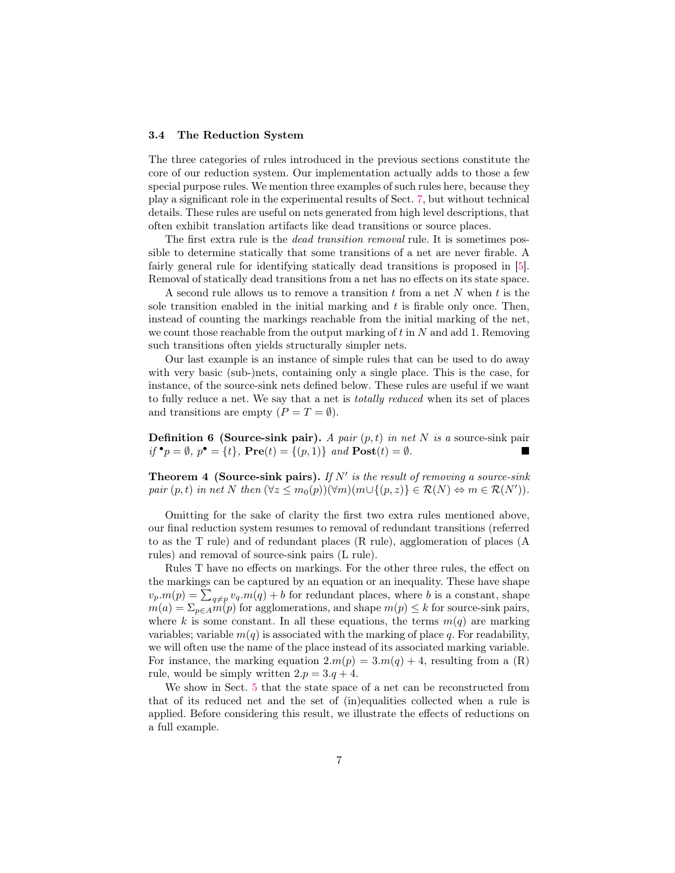#### <span id="page-6-0"></span>3.4 The Reduction System

The three categories of rules introduced in the previous sections constitute the core of our reduction system. Our implementation actually adds to those a few special purpose rules. We mention three examples of such rules here, because they play a significant role in the experimental results of Sect. [7,](#page-12-0) but without technical details. These rules are useful on nets generated from high level descriptions, that often exhibit translation artifacts like dead transitions or source places.

The first extra rule is the *dead transition removal* rule. It is sometimes possible to determine statically that some transitions of a net are never firable. A fairly general rule for identifying statically dead transitions is proposed in [\[5\]](#page-16-3). Removal of statically dead transitions from a net has no effects on its state space.

A second rule allows us to remove a transition t from a net  $N$  when t is the sole transition enabled in the initial marking and  $t$  is firable only once. Then, instead of counting the markings reachable from the initial marking of the net, we count those reachable from the output marking of  $t$  in  $N$  and add 1. Removing such transitions often yields structurally simpler nets.

Our last example is an instance of simple rules that can be used to do away with very basic (sub-)nets, containing only a single place. This is the case, for instance, of the source-sink nets defined below. These rules are useful if we want to fully reduce a net. We say that a net is totally reduced when its set of places and transitions are empty  $(P = T = \emptyset)$ .

**Definition 6 (Source-sink pair).** A pair  $(p, t)$  in net N is a source-sink pair if  ${}^{\bullet}p = \emptyset$ ,  $p{}^{\bullet} = \{t\}$ ,  $\text{Pre}(t) = \{(p, 1)\}$  and  $\text{Post}(t) = \emptyset$ .

<span id="page-6-1"></span>**Theorem 4 (Source-sink pairs).** If  $N'$  is the result of removing a source-sink pair  $(p, t)$  in net N then  $(\forall z \leq m_0(p))(\forall m)(m \cup \{(p, z)\} \in \mathcal{R}(N) \Leftrightarrow m \in \mathcal{R}(N')).$ 

Omitting for the sake of clarity the first two extra rules mentioned above, our final reduction system resumes to removal of redundant transitions (referred to as the T rule) and of redundant places (R rule), agglomeration of places (A rules) and removal of source-sink pairs (L rule).

Rules T have no effects on markings. For the other three rules, the effect on the markings can be captured by an equation or an inequality. These have shape  $v_p.m(p) = \sum_{q \neq p} v_q.m(q) + b$  for redundant places, where b is a constant, shape  $m(a) = \sum_{p \in A} m(p)$  for agglomerations, and shape  $m(p) \leq k$  for source-sink pairs, where k is some constant. In all these equations, the terms  $m(q)$  are marking variables; variable  $m(q)$  is associated with the marking of place q. For readability, we will often use the name of the place instead of its associated marking variable. For instance, the marking equation  $2.m(p) = 3.m(q) + 4$ , resulting from a (R) rule, would be simply written  $2.p = 3.q + 4$ .

We show in Sect. [5](#page-8-0) that the state space of a net can be reconstructed from that of its reduced net and the set of (in)equalities collected when a rule is applied. Before considering this result, we illustrate the effects of reductions on a full example.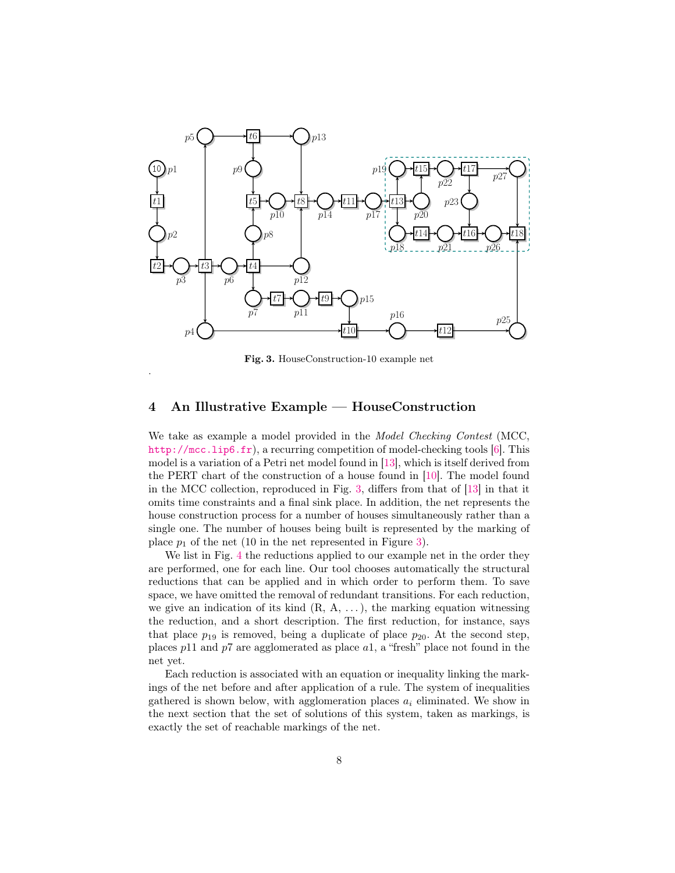

<span id="page-7-1"></span>Fig. 3. HouseConstruction-10 example net

### <span id="page-7-0"></span>4 An Illustrative Example — HouseConstruction

.

We take as example a model provided in the Model Checking Contest (MCC, <http://mcc.lip6.fr>), a recurring competition of model-checking tools [\[6\]](#page-16-4). This model is a variation of a Petri net model found in [\[13\]](#page-16-9), which is itself derived from the PERT chart of the construction of a house found in [\[10\]](#page-16-10). The model found in the MCC collection, reproduced in Fig. [3,](#page-7-1) differs from that of [\[13\]](#page-16-9) in that it omits time constraints and a final sink place. In addition, the net represents the house construction process for a number of houses simultaneously rather than a single one. The number of houses being built is represented by the marking of place  $p_1$  of the net (10 in the net represented in Figure [3\)](#page-7-1).

We list in Fig. [4](#page-8-1) the reductions applied to our example net in the order they are performed, one for each line. Our tool chooses automatically the structural reductions that can be applied and in which order to perform them. To save space, we have omitted the removal of redundant transitions. For each reduction, we give an indication of its kind  $(R, A, \ldots)$ , the marking equation witnessing the reduction, and a short description. The first reduction, for instance, says that place  $p_{19}$  is removed, being a duplicate of place  $p_{20}$ . At the second step, places p11 and  $p7$  are agglomerated as place a1, a "fresh" place not found in the net yet.

Each reduction is associated with an equation or inequality linking the markings of the net before and after application of a rule. The system of inequalities gathered is shown below, with agglomeration places  $a_i$  eliminated. We show in the next section that the set of solutions of this system, taken as markings, is exactly the set of reachable markings of the net.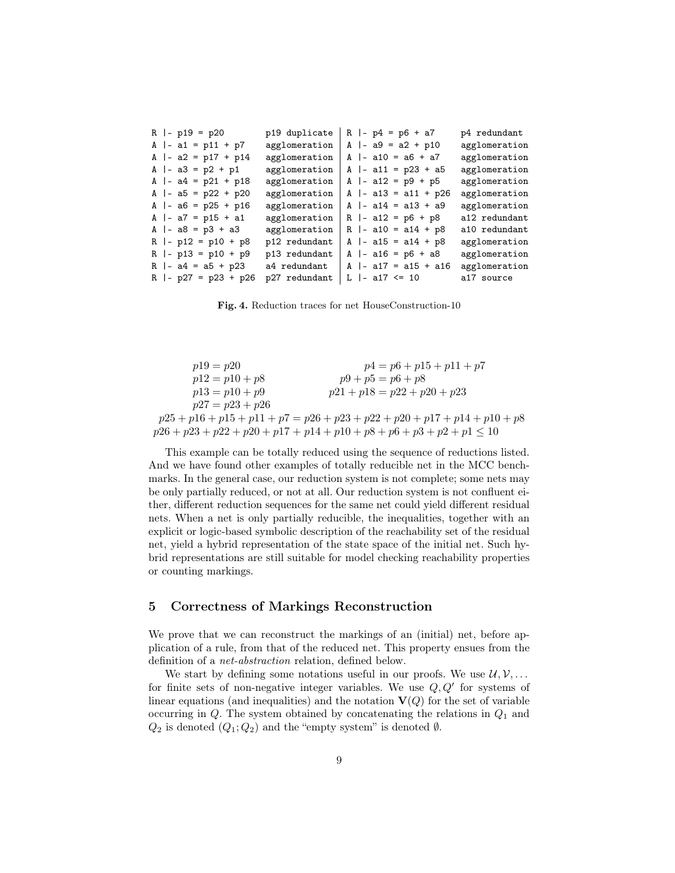|  | $R$  - $p19 = p20$       | p19 duplicate | $R$  - $p4 = p6 + a7$     | p4 redundant  |
|--|--------------------------|---------------|---------------------------|---------------|
|  | $A \mid -a1 = p11 + p7$  | agglomeration | $A \mid -a9 = a2 + p10$   | agglomeration |
|  | $A \mid -a2 = p17 + p14$ | agglomeration | $A \mid -a10 = a6 + a7$   | agglomeration |
|  | $A \mid -a3 = p2 + p1$   | agglomeration | $A \mid -a11 = p23 + a5$  | agglomeration |
|  | $A \mid -a4 = p21 + p18$ | agglomeration | $A \mid -a12 = p9 + p5$   | agglomeration |
|  | $A \mid -a5 = p22 + p20$ | agglomeration | $A \mid -a13 = a11 + p26$ | agglomeration |
|  | $A \mid -a6 = p25 + p16$ | agglomeration | $A \mid -a14 = a13 + a9$  | agglomeration |
|  | $A \mid -a7 = p15 + a1$  | agglomeration | $R$  - a12 = p6 + p8      | a12 redundant |
|  | $A \mid -a8 = p3 + a3$   | agglomeration | $R$  - a10 = a14 + p8     | a10 redundant |
|  | $R$  - $p12 = p10 + p8$  | p12 redundant | $A \mid -a15 = a14 + p8$  | agglomeration |
|  | $R$  - p13 = p10 + p9    | p13 redundant | $A \mid -a16 = p6 + a8$   | agglomeration |
|  | $R$  - $a4 = a5 + p23$   | a4 redundant  | $A \mid -a17 = a15 + a16$ | agglomeration |
|  | $R$  - $p27 = p23 + p26$ | p27 redundant | L $ -$ a17 <= 10          | a17 source    |

<span id="page-8-1"></span>Fig. 4. Reduction traces for net HouseConstruction-10

| $p19 = p20$                     | $p4 = p6 + p15 + p11 + p7$                |
|---------------------------------|-------------------------------------------|
| $p12 = p10 + p8$                | $p9 + p5 = p6 + p8$                       |
| $p13 = p10 + p9$                | $p21 + p18 = p22 + p20 + p23$             |
| $p27 = p23 + p26$               |                                           |
| $1.10 \pm .15 \pm .111 \pm .77$ | $-96 + -92 + -92 + -90 + -17 + -14 + -16$ |

 $p25 + p16 + p15 + p11 + p7 = p26 + p23 + p22 + p20 + p17 + p14 + p10 + p8$  $p26 + p23 + p22 + p20 + p17 + p14 + p10 + p8 + p6 + p3 + p2 + p1 \le 10$ 

This example can be totally reduced using the sequence of reductions listed. And we have found other examples of totally reducible net in the MCC benchmarks. In the general case, our reduction system is not complete; some nets may be only partially reduced, or not at all. Our reduction system is not confluent either, different reduction sequences for the same net could yield different residual nets. When a net is only partially reducible, the inequalities, together with an explicit or logic-based symbolic description of the reachability set of the residual net, yield a hybrid representation of the state space of the initial net. Such hybrid representations are still suitable for model checking reachability properties or counting markings.

#### <span id="page-8-0"></span>5 Correctness of Markings Reconstruction

We prove that we can reconstruct the markings of an (initial) net, before application of a rule, from that of the reduced net. This property ensues from the definition of a net-abstraction relation, defined below.

We start by defining some notations useful in our proofs. We use  $\mathcal{U}, \mathcal{V}, \ldots$ for finite sets of non-negative integer variables. We use  $Q, Q'$  for systems of linear equations (and inequalities) and the notation  $V(Q)$  for the set of variable occurring in  $Q$ . The system obtained by concatenating the relations in  $Q_1$  and  $Q_2$  is denoted  $(Q_1; Q_2)$  and the "empty system" is denoted  $\emptyset$ .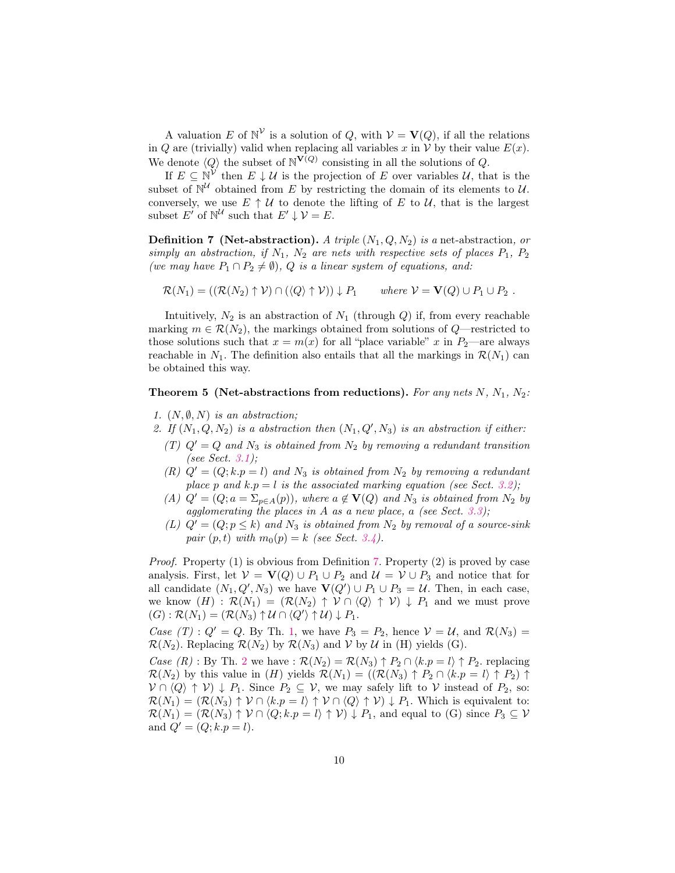A valuation E of  $\mathbb{N}^{\mathcal{V}}$  is a solution of Q, with  $\mathcal{V} = \mathbf{V}(Q)$ , if all the relations in Q are (trivially) valid when replacing all variables x in V by their value  $E(x)$ . We denote  $\langle Q \rangle$  the subset of  $N^{V(Q)}$  consisting in all the solutions of Q.

If  $E \subseteq \mathbb{N}^{\mathcal{V}}$  then  $E \downarrow \mathcal{U}$  is the projection of E over variables  $\mathcal{U}$ , that is the subset of  $\mathbb{N}^{\mathcal{U}}$  obtained from E by restricting the domain of its elements to U. conversely, we use  $E \uparrow U$  to denote the lifting of E to U, that is the largest subset  $E'$  of  $\mathbb{N}^{\mathcal{U}}$  such that  $E' \downarrow \mathcal{V} = E$ .

<span id="page-9-0"></span>**Definition 7** (Net-abstraction). A triple  $(N_1, Q, N_2)$  is a net-abstraction, or simply an abstraction, if  $N_1$ ,  $N_2$  are nets with respective sets of places  $P_1$ ,  $P_2$ (we may have  $P_1 \cap P_2 \neq \emptyset$ ), Q is a linear system of equations, and:

$$
\mathcal{R}(N_1) = ((\mathcal{R}(N_2) \uparrow \mathcal{V}) \cap (\langle Q \rangle \uparrow \mathcal{V})) \downarrow P_1 \quad \text{where } \mathcal{V} = \mathbf{V}(Q) \cup P_1 \cup P_2 .
$$

Intuitively,  $N_2$  is an abstraction of  $N_1$  (through Q) if, from every reachable marking  $m \in \mathcal{R}(N_2)$ , the markings obtained from solutions of Q—restricted to those solutions such that  $x = m(x)$  for all "place variable" x in  $P_2$ —are always reachable in  $N_1$ . The definition also entails that all the markings in  $\mathcal{R}(N_1)$  can be obtained this way.

#### <span id="page-9-1"></span>**Theorem 5 (Net-abstractions from reductions).** For any nets  $N$ ,  $N_1$ ,  $N_2$ :

- 1.  $(N, \emptyset, N)$  is an abstraction;
- 2. If  $(N_1, Q, N_2)$  is a abstraction then  $(N_1, Q', N_3)$  is an abstraction if either:
	- (T)  $Q' = Q$  and  $N_3$  is obtained from  $N_2$  by removing a redundant transition (see Sect. [3.1\)](#page-2-3);
	- (R)  $Q' = (Q; k.p = l)$  and  $N_3$  is obtained from  $N_2$  by removing a redundant place p and  $k.p = l$  is the associated marking equation (see Sect. [3.2\)](#page-2-4);
	- (A)  $Q' = (Q; a = \Sigma_{p \in A}(p))$ , where  $a \notin V(Q)$  and  $N_3$  is obtained from  $N_2$  by agglomerating the places in  $A$  as a new place, a (see Sect. [3.3\)](#page-3-1);
	- (L)  $Q' = (Q; p \le k)$  and  $N_3$  is obtained from  $N_2$  by removal of a source-sink pair  $(p, t)$  with  $m_0(p) = k$  (see Sect. [3.4\)](#page-6-0).

Proof. Property (1) is obvious from Definition [7.](#page-9-0) Property (2) is proved by case analysis. First, let  $V = V(Q) \cup P_1 \cup P_2$  and  $U = V \cup P_3$  and notice that for all candidate  $(N_1, Q', N_3)$  we have  $\mathbf{V}(Q') \cup P_1 \cup P_3 = \mathcal{U}$ . Then, in each case, we know  $(H)$ :  $\mathcal{R}(N_1) = (\mathcal{R}(N_2) \uparrow \mathcal{V} \cap \langle Q \rangle \uparrow \mathcal{V}) \downarrow P_1$  and we must prove  $(G): \mathcal{R}(N_1) = (\mathcal{R}(N_3) \uparrow \mathcal{U} \cap \langle Q' \rangle \uparrow \mathcal{U}) \downarrow P_1.$ 

Case (T) :  $Q' = Q$ . By Th. [1,](#page-2-5) we have  $P_3 = P_2$ , hence  $V = U$ , and  $\mathcal{R}(N_3) =$  $\mathcal{R}(N_2)$ . Replacing  $\mathcal{R}(N_2)$  by  $\mathcal{R}(N_3)$  and  $\mathcal{V}$  by  $\mathcal{U}$  in (H) yields (G).

*Case*  $(R)$ : By Th. [2](#page-3-2) we have :  $\mathcal{R}(N_2) = \mathcal{R}(N_3) \uparrow P_2 \cap \langle k.p = l \rangle \uparrow P_2$ . replacing  $\mathcal{R}(N_2)$  by this value in  $(H)$  yields  $\mathcal{R}(N_1) = ((\mathcal{R}(N_3) \uparrow P_2 \cap (k.p = l) \uparrow P_2) \uparrow$  $V \cap \langle Q \rangle \uparrow V$ )  $\downarrow$   $P_1$ . Since  $P_2 \subseteq V$ , we may safely lift to V instead of  $P_2$ , so:  $\mathcal{R}(N_1) = (\mathcal{R}(N_3) \uparrow \mathcal{V} \cap \langle k.p = l \rangle \uparrow \mathcal{V} \cap \langle Q \rangle \uparrow \mathcal{V}) \downarrow P_1$ . Which is equivalent to:  $\mathcal{R}(N_1) = (\mathcal{R}(N_3) \uparrow \mathcal{V} \cap \langle Q; k.p = l \rangle \uparrow \mathcal{V}) \downarrow P_1$ , and equal to (G) since  $P_3 \subseteq \mathcal{V}$ and  $Q' = (Q; k.p = l)$ .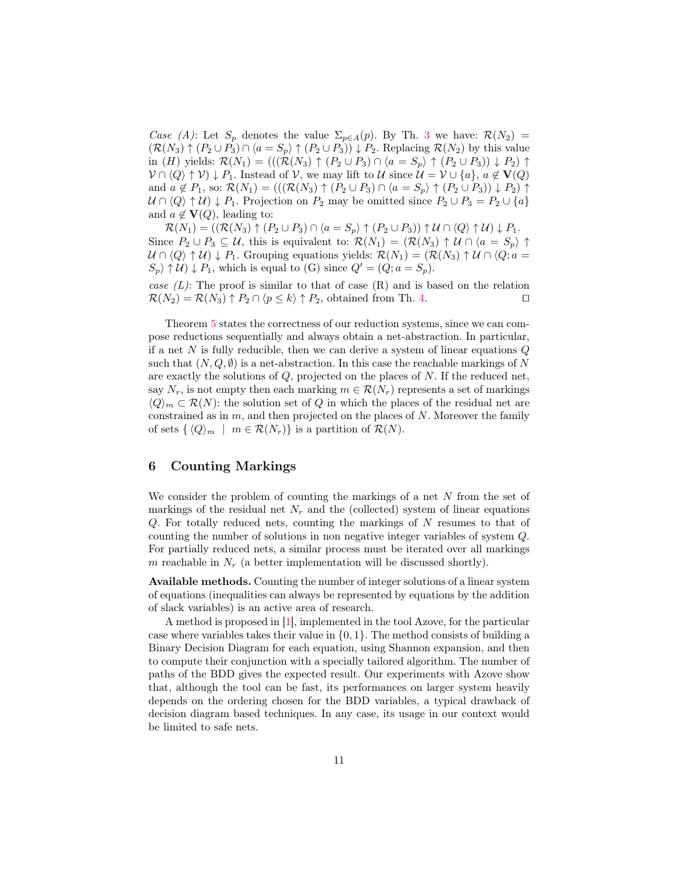Case (A): Let  $S_p$  denotes the value  $\Sigma_{p\in A}(p)$ . By Th. [3](#page-4-1) we have:  $\mathcal{R}(N_2)$  =  $(\mathcal{R}(N_3) \uparrow (P_2 \cup P_3) \cap (a = S_p) \uparrow (P_2 \cup P_3)) \downarrow P_2$ . Replacing  $\mathcal{R}(N_2)$  by this value in (H) yields:  $\mathcal{R}(N_1) = (((\mathcal{R}(N_3) \uparrow (P_2 \cup P_3) \cap (a = S_p) \uparrow (P_2 \cup P_3)) \downarrow P_2) \uparrow$  $V \cap (Q) \uparrow V$   $\downarrow$   $P_1$ . Instead of V, we may lift to U since  $\mathcal{U} = V \cup \{a\}$ ,  $a \notin \mathbf{V}(Q)$ and  $a \notin P_1$ , so:  $\mathcal{R}(N_1) = (((\mathcal{R}(N_3) \uparrow (P_2 \cup P_3) \cap (a = S_p) \uparrow (P_2 \cup P_3)) \downarrow P_2) \uparrow$  $U \cap \langle Q \rangle \uparrow U$ )  $\downarrow$   $P_1$ . Projection on  $P_2$  may be omitted since  $P_2 \cup P_3 = P_2 \cup \{a\}$ and  $a \notin V(Q)$ , leading to:

 $\mathcal{R}(N_1) = ((\mathcal{R}(N_3) \uparrow (P_2 \cup P_3) \cap (a = S_p) \uparrow (P_2 \cup P_3)) \uparrow \mathcal{U} \cap (Q) \uparrow \mathcal{U}) \downarrow P_1.$ Since  $P_2 \cup P_3 \subseteq \mathcal{U}$ , this is equivalent to:  $\mathcal{R}(N_1) = (\mathcal{R}(N_3) \uparrow \mathcal{U} \cap \langle a = S_p \rangle \uparrow$  $U \cap \langle Q \rangle \uparrow U$ )  $\downarrow P_1$ . Grouping equations yields:  $\mathcal{R}(N_1) = (\mathcal{R}(N_3) \uparrow U \cap \langle Q; a =$  $S_p \nightharpoonup \mathcal{U} \downarrow P_1$ , which is equal to (G) since  $Q' = (Q; a = S_p)$ .

case  $(L)$ : The proof is similar to that of case  $(R)$  and is based on the relation  $\mathcal{R}(N_2) = \mathcal{R}(N_3) \uparrow P_2 \cap \langle p \leq k \rangle \uparrow P_2$ , obtained from Th. [4.](#page-6-1)

Theorem [5](#page-9-1) states the correctness of our reduction systems, since we can compose reductions sequentially and always obtain a net-abstraction. In particular, if a net  $N$  is fully reducible, then we can derive a system of linear equations  $Q$ such that  $(N, Q, \emptyset)$  is a net-abstraction. In this case the reachable markings of N are exactly the solutions of Q, projected on the places of N. If the reduced net, say  $N_r$ , is not empty then each marking  $m \in \mathcal{R}(N_r)$  represents a set of markings  $\langle Q \rangle_m \subset \mathcal{R}(N)$ : the solution set of Q in which the places of the residual net are constrained as in  $m$ , and then projected on the places of  $N$ . Moreover the family of sets  $\{ \langle Q \rangle_m \mid m \in \mathcal{R}(N_r) \}$  is a partition of  $\mathcal{R}(N)$ .

# <span id="page-10-0"></span>6 Counting Markings

We consider the problem of counting the markings of a net  $N$  from the set of markings of the residual net  $N_r$  and the (collected) system of linear equations Q. For totally reduced nets, counting the markings of N resumes to that of counting the number of solutions in non negative integer variables of system Q. For partially reduced nets, a similar process must be iterated over all markings m reachable in  $N_r$  (a better implementation will be discussed shortly).

Available methods. Counting the number of integer solutions of a linear system of equations (inequalities can always be represented by equations by the addition of slack variables) is an active area of research.

A method is proposed in [\[1\]](#page-16-11), implemented in the tool Azove, for the particular case where variables takes their value in  $\{0, 1\}$ . The method consists of building a Binary Decision Diagram for each equation, using Shannon expansion, and then to compute their conjunction with a specially tailored algorithm. The number of paths of the BDD gives the expected result. Our experiments with Azove show that, although the tool can be fast, its performances on larger system heavily depends on the ordering chosen for the BDD variables, a typical drawback of decision diagram based techniques. In any case, its usage in our context would be limited to safe nets.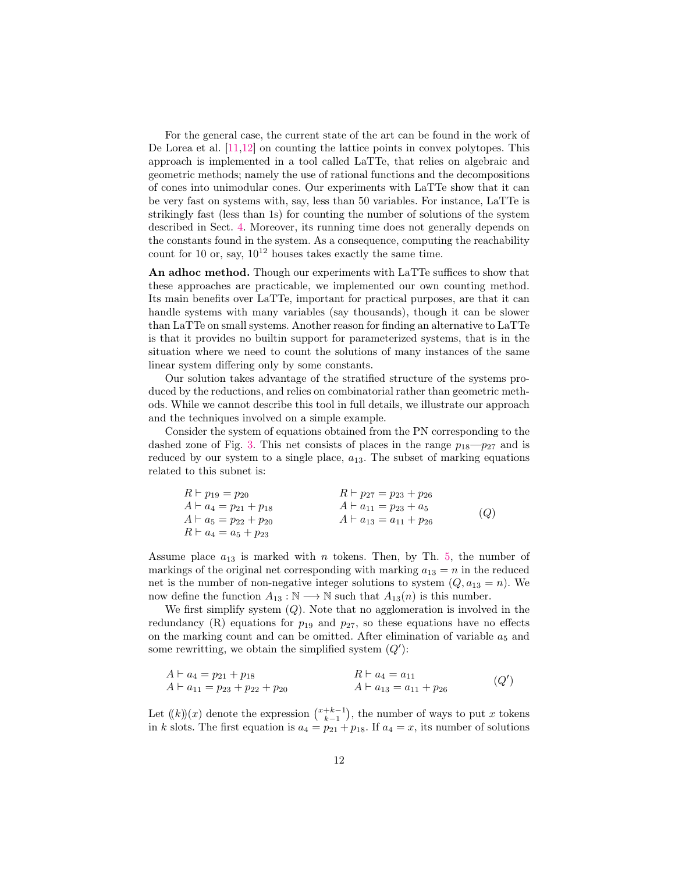For the general case, the current state of the art can be found in the work of De Lorea et al. [\[11,](#page-16-12)[12\]](#page-16-13) on counting the lattice points in convex polytopes. This approach is implemented in a tool called LaTTe, that relies on algebraic and geometric methods; namely the use of rational functions and the decompositions of cones into unimodular cones. Our experiments with LaTTe show that it can be very fast on systems with, say, less than 50 variables. For instance, LaTTe is strikingly fast (less than 1s) for counting the number of solutions of the system described in Sect. [4.](#page-7-0) Moreover, its running time does not generally depends on the constants found in the system. As a consequence, computing the reachability count for 10 or, say,  $10^{12}$  houses takes exactly the same time.

An adhoc method. Though our experiments with LaTTe suffices to show that these approaches are practicable, we implemented our own counting method. Its main benefits over LaTTe, important for practical purposes, are that it can handle systems with many variables (say thousands), though it can be slower than LaTTe on small systems. Another reason for finding an alternative to LaTTe is that it provides no builtin support for parameterized systems, that is in the situation where we need to count the solutions of many instances of the same linear system differing only by some constants.

Our solution takes advantage of the stratified structure of the systems produced by the reductions, and relies on combinatorial rather than geometric methods. While we cannot describe this tool in full details, we illustrate our approach and the techniques involved on a simple example.

Consider the system of equations obtained from the PN corresponding to the dashed zone of Fig. [3.](#page-7-1) This net consists of places in the range  $p_{18}-p_{27}$  and is reduced by our system to a single place,  $a_{13}$ . The subset of marking equations related to this subnet is:

| $R \vdash p_{19} = p_{20}$       | $R \vdash p_{27} = p_{23} + p_{26}$ |     |
|----------------------------------|-------------------------------------|-----|
| $A \vdash a_4 = p_{21} + p_{18}$ | $A \vdash a_{11} = p_{23} + a_5$    |     |
| $A \vdash a_5 = p_{22} + p_{20}$ | $A \vdash a_{13} = a_{11} + p_{26}$ | (Q) |
| $R\vdash a_4=a_5+p_{23}$         |                                     |     |

Assume place  $a_{13}$  is marked with n tokens. Then, by Th. [5,](#page-9-1) the number of markings of the original net corresponding with marking  $a_{13} = n$  in the reduced net is the number of non-negative integer solutions to system  $(Q, a_{13} = n)$ . We now define the function  $A_{13} : \mathbb{N} \longrightarrow \mathbb{N}$  such that  $A_{13}(n)$  is this number.

We first simplify system  $(Q)$ . Note that no agglomeration is involved in the redundancy (R) equations for  $p_{19}$  and  $p_{27}$ , so these equations have no effects on the marking count and can be omitted. After elimination of variable  $a_5$  and some rewritting, we obtain the simplified system  $(Q')$ :

$$
A \vdash a_4 = p_{21} + p_{18}
$$
  
\n
$$
A \vdash a_{11} = p_{23} + p_{22} + p_{20}
$$
  
\n
$$
A \vdash a_{13} = a_{11} + p_{26}
$$
  
\n
$$
(Q')
$$

Let  $((k))(x)$  denote the expression  $\binom{x+k-1}{k-1}$ , the number of ways to put x tokens in k slots. The first equation is  $a_4 = p_{21} + p_{18}$ . If  $a_4 = x$ , its number of solutions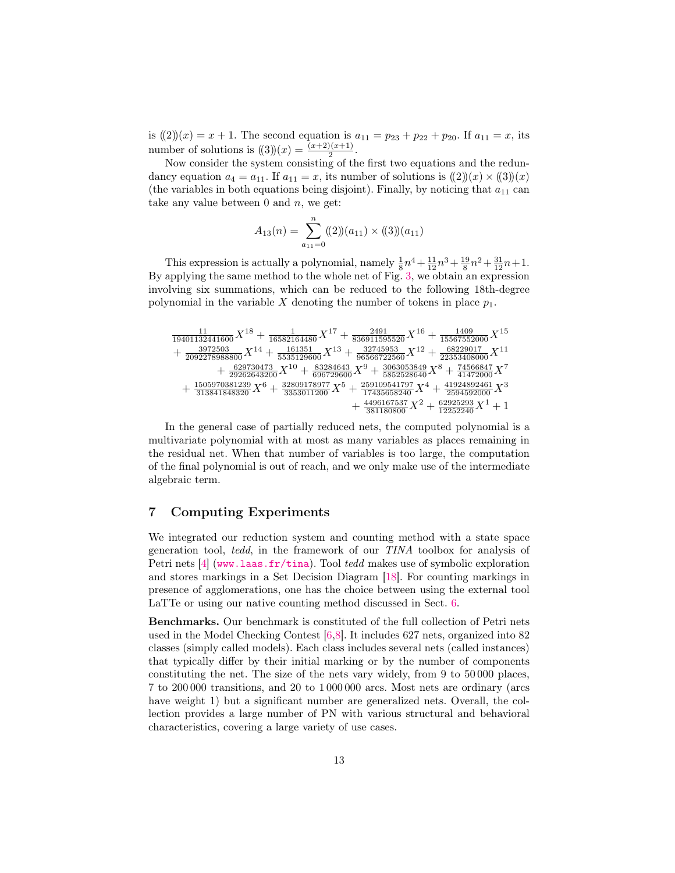is  $(2)(x) = x + 1$ . The second equation is  $a_{11} = p_{23} + p_{22} + p_{20}$ . If  $a_{11} = x$ , its number of solutions is  $(3)(x) = \frac{(x+2)(x+1)}{2}$ .

Now consider the system consisting of the first two equations and the redundancy equation  $a_4 = a_{11}$ . If  $a_{11} = x$ , its number of solutions is  $((2)(x) \times ((3))(x)$ (the variables in both equations being disjoint). Finally, by noticing that  $a_{11}$  can take any value between 0 and  $n$ , we get:

$$
A_{13}(n) = \sum_{a_{11}=0}^{n} ((2))(a_{11}) \times ((3))(a_{11})
$$

This expression is actually a polynomial, namely  $\frac{1}{8}n^4 + \frac{11}{12}n^3 + \frac{19}{8}n^2 + \frac{31}{12}n + 1$ . By applying the same method to the whole net of Fig. [3,](#page-7-1) we obtain an expression involving six summations, which can be reduced to the following 18th-degree polynomial in the variable X denoting the number of tokens in place  $p_1$ .

$$
\begin{aligned} \frac{11}{19401132441600}X^{18} + \frac{1}{16582164480}X^{17} + \frac{2491}{836911595520}X^{16} + \frac{1409}{1556752000}X^{15} \\ + \frac{3972503}{2092278988800}X^{14} + \frac{161351}{5535129600}X^{13} + \frac{32745953}{96566722560}X^{12} + \frac{68229017}{22353408000}X^{11} \\ + \frac{629730473}{29262643200}X^{10} + \frac{83284643}{696729600}X^9 + \frac{3063053849}{5852528640}X^8 + \frac{74566847}{41472000}X^7 \\ + \frac{1505970381239}{313841848320}X^6 + \frac{32809178977}{3353011200}X^5 + \frac{259109541797}{17435658240}X^4 + \frac{41924892461}{2594592000}X^3 \\ + \frac{4496167537}{381180800}X^2 + \frac{62925293}{12252240}X^1 + 1 \end{aligned}
$$

In the general case of partially reduced nets, the computed polynomial is a multivariate polynomial with at most as many variables as places remaining in the residual net. When that number of variables is too large, the computation of the final polynomial is out of reach, and we only make use of the intermediate algebraic term.

### <span id="page-12-0"></span>7 Computing Experiments

We integrated our reduction system and counting method with a state space generation tool, tedd, in the framework of our TINA toolbox for analysis of Petri nets [\[4\]](#page-16-6) (<www.laas.fr/tina>). Tool tedd makes use of symbolic exploration and stores markings in a Set Decision Diagram [\[18\]](#page-16-14). For counting markings in presence of agglomerations, one has the choice between using the external tool LaTTe or using our native counting method discussed in Sect. [6.](#page-10-0)

Benchmarks. Our benchmark is constituted of the full collection of Petri nets used in the Model Checking Contest [\[6](#page-16-4)[,8\]](#page-16-15). It includes 627 nets, organized into 82 classes (simply called models). Each class includes several nets (called instances) that typically differ by their initial marking or by the number of components constituting the net. The size of the nets vary widely, from 9 to 50 000 places, 7 to 200 000 transitions, and 20 to 1 000 000 arcs. Most nets are ordinary (arcs have weight 1) but a significant number are generalized nets. Overall, the collection provides a large number of PN with various structural and behavioral characteristics, covering a large variety of use cases.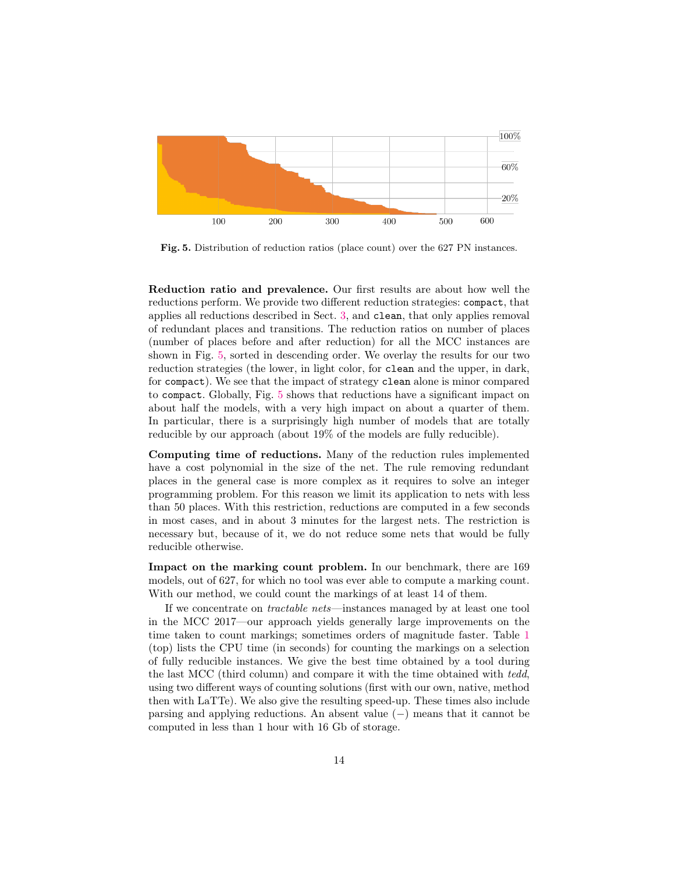

<span id="page-13-0"></span>Fig. 5. Distribution of reduction ratios (place count) over the 627 PN instances.

Reduction ratio and prevalence. Our first results are about how well the reductions perform. We provide two different reduction strategies: compact, that applies all reductions described in Sect. [3,](#page-2-0) and clean, that only applies removal of redundant places and transitions. The reduction ratios on number of places (number of places before and after reduction) for all the MCC instances are shown in Fig. [5,](#page-13-0) sorted in descending order. We overlay the results for our two reduction strategies (the lower, in light color, for clean and the upper, in dark, for compact). We see that the impact of strategy clean alone is minor compared to compact. Globally, Fig. [5](#page-13-0) shows that reductions have a significant impact on about half the models, with a very high impact on about a quarter of them. In particular, there is a surprisingly high number of models that are totally reducible by our approach (about 19% of the models are fully reducible).

Computing time of reductions. Many of the reduction rules implemented have a cost polynomial in the size of the net. The rule removing redundant places in the general case is more complex as it requires to solve an integer programming problem. For this reason we limit its application to nets with less than 50 places. With this restriction, reductions are computed in a few seconds in most cases, and in about 3 minutes for the largest nets. The restriction is necessary but, because of it, we do not reduce some nets that would be fully reducible otherwise.

Impact on the marking count problem. In our benchmark, there are 169 models, out of 627, for which no tool was ever able to compute a marking count. With our method, we could count the markings of at least 14 of them.

If we concentrate on tractable nets—instances managed by at least one tool in the MCC 2017—our approach yields generally large improvements on the time taken to count markings; sometimes orders of magnitude faster. Table [1](#page-14-0) (top) lists the CPU time (in seconds) for counting the markings on a selection of fully reducible instances. We give the best time obtained by a tool during the last MCC (third column) and compare it with the time obtained with tedd, using two different ways of counting solutions (first with our own, native, method then with LaTTe). We also give the resulting speed-up. These times also include parsing and applying reductions. An absent value (−) means that it cannot be computed in less than 1 hour with 16 Gb of storage.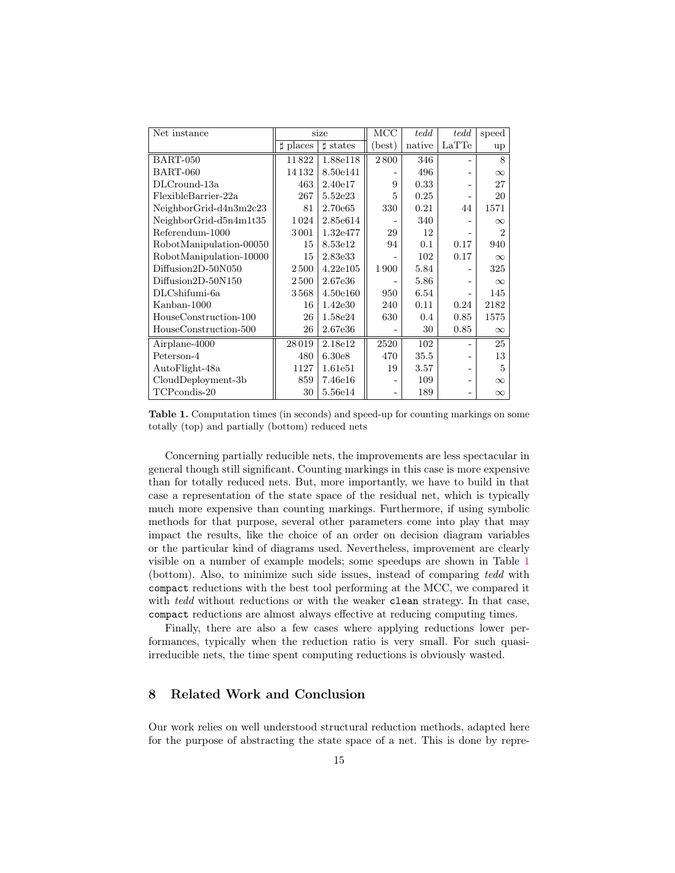| Net instance            | size            |          | MCC             | tedd   | tedd                     | speed    |
|-------------------------|-----------------|----------|-----------------|--------|--------------------------|----------|
|                         | $\sharp$ places | t states | $_{\rm (best)}$ | native | LaTTe                    | up       |
| BART-050                | 11822           | 1.88e118 | 2800            | 346    |                          | 8        |
| BART-060                | 14 13 2         | 8.50e141 |                 | 496    |                          | $\infty$ |
| DLCround-13a            | 463             | 2.40e17  | 9               | 0.33   |                          | 27       |
| FlexibleBarrier-22a     | 267             | 5.52e23  | 5               | 0.25   |                          | 20       |
| NeighborGrid-d4n3m2c23  | 81              | 2.70e65  | 330             | 0.21   | 44                       | 1571     |
| NeighborGrid-d5n4m1t35  | 1024            | 2.85e614 |                 | 340    |                          | $\infty$ |
| Referendum-1000         | 3001            | 1.32e477 | 29              | 12     |                          | 2        |
| RobotManipulation-00050 | 15              | 8.53e12  | 94              | 0.1    | 0.17                     | 940      |
| RobotManipulation-10000 | 15              | 2.83e33  |                 | 102    | 0.17                     | $\infty$ |
| Diffusion2D-50N050      | $2\,500$        | 4.22e105 | 1900            | 5.84   |                          | 325      |
| Diffusion2D-50N150      | $2\,500$        | 2.67e36  |                 | 5.86   |                          | $\infty$ |
| DLCshifumi-6a           | $3\,568$        | 4.50e160 | 950             | 6.54   |                          | 145      |
| Kanban-1000             | 16              | 1.42e30  | 240             | 0.11   | 0.24                     | 2182     |
| HouseConstruction-100   | 26              | 1.58e24  | 630             | 0.4    | 0.85                     | 1575     |
| HouseConstruction-500   | 26              | 2.67e36  |                 | 30     | 0.85                     | $\infty$ |
| Airplane-4000           | 28019           | 2.18e12  | 2520            | 102    |                          | 25       |
| Peterson-4              | 480             | 6.30e8   | 470             | 35.5   |                          | 13       |
| AutoFlight-48a          | 1127            | 1.61e51  | 19              | 3.57   | $\overline{\phantom{0}}$ | 5        |
| CloudDeployment-3b      | 859             | 7.46e16  |                 | 109    |                          | $\infty$ |
| TCPcondis-20            | 30              | 5.56e14  |                 | 189    |                          | $\infty$ |

<span id="page-14-0"></span>Table 1. Computation times (in seconds) and speed-up for counting markings on some totally (top) and partially (bottom) reduced nets

Concerning partially reducible nets, the improvements are less spectacular in general though still significant. Counting markings in this case is more expensive than for totally reduced nets. But, more importantly, we have to build in that case a representation of the state space of the residual net, which is typically much more expensive than counting markings. Furthermore, if using symbolic methods for that purpose, several other parameters come into play that may impact the results, like the choice of an order on decision diagram variables or the particular kind of diagrams used. Nevertheless, improvement are clearly visible on a number of example models; some speedups are shown in Table [1](#page-14-0) (bottom). Also, to minimize such side issues, instead of comparing tedd with compact reductions with the best tool performing at the MCC, we compared it with *tedd* without reductions or with the weaker clean strategy. In that case, compact reductions are almost always effective at reducing computing times.

Finally, there are also a few cases where applying reductions lower performances, typically when the reduction ratio is very small. For such quasiirreducible nets, the time spent computing reductions is obviously wasted.

# 8 Related Work and Conclusion

Our work relies on well understood structural reduction methods, adapted here for the purpose of abstracting the state space of a net. This is done by repre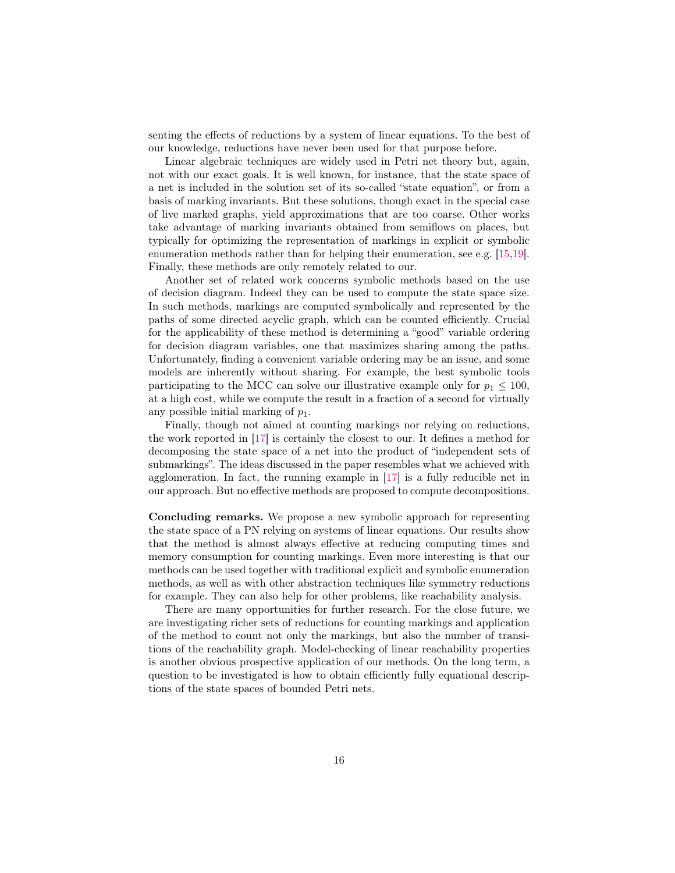senting the effects of reductions by a system of linear equations. To the best of our knowledge, reductions have never been used for that purpose before.

Linear algebraic techniques are widely used in Petri net theory but, again, not with our exact goals. It is well known, for instance, that the state space of a net is included in the solution set of its so-called "state equation", or from a basis of marking invariants. But these solutions, though exact in the special case of live marked graphs, yield approximations that are too coarse. Other works take advantage of marking invariants obtained from semiflows on places, but typically for optimizing the representation of markings in explicit or symbolic enumeration methods rather than for helping their enumeration, see e.g. [\[15,](#page-16-16)[19\]](#page-16-17). Finally, these methods are only remotely related to our.

Another set of related work concerns symbolic methods based on the use of decision diagram. Indeed they can be used to compute the state space size. In such methods, markings are computed symbolically and represented by the paths of some directed acyclic graph, which can be counted efficiently. Crucial for the applicability of these method is determining a "good" variable ordering for decision diagram variables, one that maximizes sharing among the paths. Unfortunately, finding a convenient variable ordering may be an issue, and some models are inherently without sharing. For example, the best symbolic tools participating to the MCC can solve our illustrative example only for  $p_1 \leq 100$ , at a high cost, while we compute the result in a fraction of a second for virtually any possible initial marking of  $p_1$ .

Finally, though not aimed at counting markings nor relying on reductions, the work reported in [\[17\]](#page-16-18) is certainly the closest to our. It defines a method for decomposing the state space of a net into the product of "independent sets of submarkings". The ideas discussed in the paper resembles what we achieved with agglomeration. In fact, the running example in [\[17\]](#page-16-18) is a fully reducible net in our approach. But no effective methods are proposed to compute decompositions.

Concluding remarks. We propose a new symbolic approach for representing the state space of a PN relying on systems of linear equations. Our results show that the method is almost always effective at reducing computing times and memory consumption for counting markings. Even more interesting is that our methods can be used together with traditional explicit and symbolic enumeration methods, as well as with other abstraction techniques like symmetry reductions for example. They can also help for other problems, like reachability analysis.

There are many opportunities for further research. For the close future, we are investigating richer sets of reductions for counting markings and application of the method to count not only the markings, but also the number of transitions of the reachability graph. Model-checking of linear reachability properties is another obvious prospective application of our methods. On the long term, a question to be investigated is how to obtain efficiently fully equational descriptions of the state spaces of bounded Petri nets.